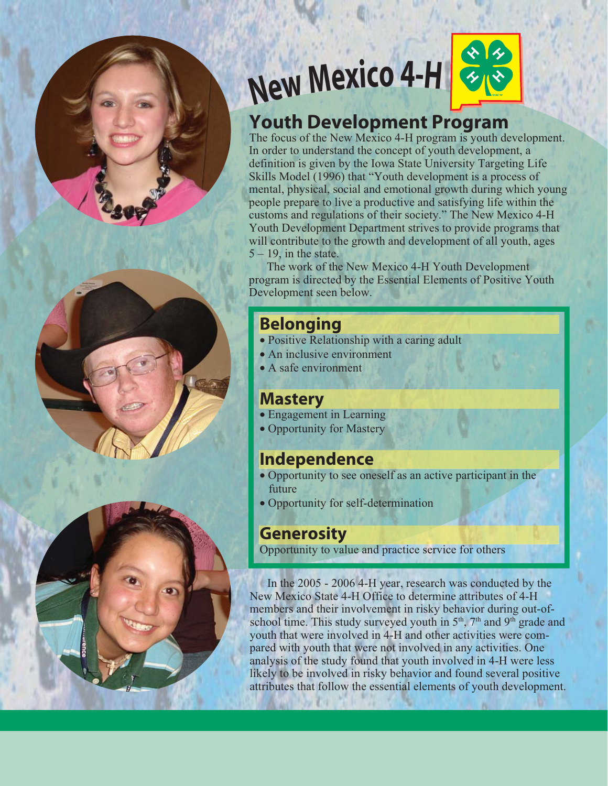





# **New Mexico 4-H**



The focus of the New Mexico 4-H program is youth development. In order to understand the concept of youth development, a definition is given by the Iowa State University Targeting Life Skills Model (1996) that "Youth development is a process of mental, physical, social and emotional growth during which young people prepare to live a productive and satisfying life within the customs and regulations of their society." The New Mexico 4-H Youth Development Department strives to provide programs that will contribute to the growth and development of all youth, ages  $5 - 19$ , in the state.

 The work of the New Mexico 4-H Youth Development program is directed by the Essential Elements of Positive Youth Development seen below.

# **Belonging**

- Positive Relationship with a caring adult
- An inclusive environment
- A safe environment

# **Mastery**

- Engagement in Learning
- Opportunity for Mastery

# **Independence**

- Opportunity to see oneself as an active participant in the future
- Opportunity for self-determination

# **Generosity**

Opportunity to value and practice service for others

In the 2005 - 2006 4-H year, research was conducted by the New Mexico State 4-H Office to determine attributes of 4-H members and their involvement in risky behavior during out-ofschool time. This study surveyed youth in  $5<sup>th</sup>$ ,  $7<sup>th</sup>$  and  $9<sup>th</sup>$  grade and youth that were involved in 4-H and other activities were compared with youth that were not involved in any activities. One analysis of the study found that youth involved in 4-H were less likely to be involved in risky behavior and found several positive attributes that follow the essential elements of youth development.